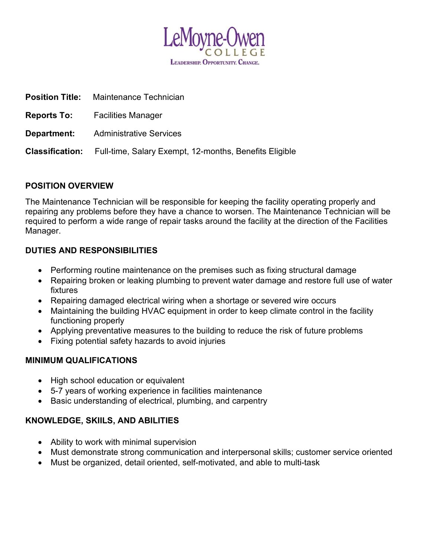

|                        | <b>Position Title:</b> Maintenance Technician          |
|------------------------|--------------------------------------------------------|
|                        | <b>Reports To:</b> Facilities Manager                  |
|                        | <b>Department:</b> Administrative Services             |
| <b>Classification:</b> | Full-time, Salary Exempt, 12-months, Benefits Eligible |

# POSITION OVERVIEW

The Maintenance Technician will be responsible for keeping the facility operating properly and repairing any problems before they have a chance to worsen. The Maintenance Technician will be required to perform a wide range of repair tasks around the facility at the direction of the Facilities Manager.

## DUTIES AND RESPONSIBILITIES

- Performing routine maintenance on the premises such as fixing structural damage
- Repairing broken or leaking plumbing to prevent water damage and restore full use of water fixtures
- Repairing damaged electrical wiring when a shortage or severed wire occurs
- Maintaining the building HVAC equipment in order to keep climate control in the facility functioning properly
- Applying preventative measures to the building to reduce the risk of future problems
- Fixing potential safety hazards to avoid injuries

### MINIMUM QUALIFICATIONS

- High school education or equivalent
- 5-7 years of working experience in facilities maintenance
- Basic understanding of electrical, plumbing, and carpentry

# KNOWLEDGE, SKIILS, AND ABILITIES

- Ability to work with minimal supervision
- Must demonstrate strong communication and interpersonal skills; customer service oriented
- Must be organized, detail oriented, self-motivated, and able to multi-task